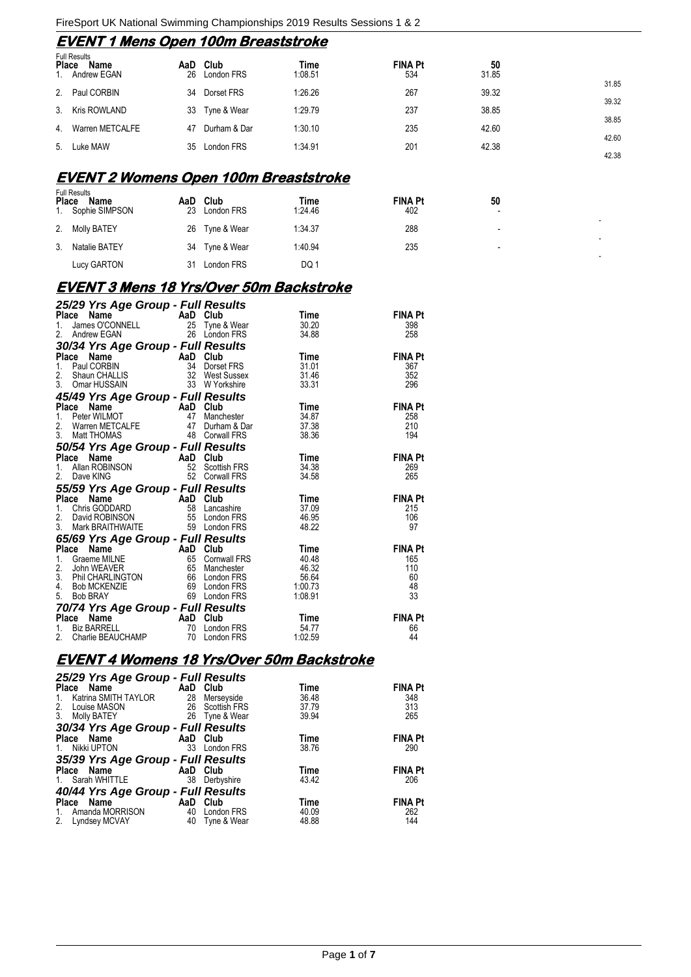## **EVENT 1 Mens Open 100m Breaststroke**

| <b>Place</b> | <b>Full Results</b><br>Name<br>1. Andrew EGAN | AaD Club<br>26 London FRS | Time<br>1:08.51 | <b>FINA Pt</b><br>534 | 50<br>31.85 |       |
|--------------|-----------------------------------------------|---------------------------|-----------------|-----------------------|-------------|-------|
|              | 2. Paul CORBIN                                | 34 Dorset FRS             | 1:26.26         | 267                   | 39.32       | 31.85 |
|              | 3. Kris ROWLAND                               | 33 Tyne & Wear            | 1:29.79         | 237                   | 38.85       | 39.32 |
|              | 4. Warren METCALFE                            | 47 Durham & Dar           | 1:30.10         | 235                   | 42.60       | 38.85 |
|              | 5. Luke MAW                                   | 35 London FRS             | 1:34.91         | 201                   | 42.38       | 42.60 |
|              |                                               |                           |                 |                       |             | 42.38 |

#### **EVENT 2 Womens Open 100m Breaststroke**

| <b>Place</b> | <b>Full Results</b><br>Name<br>1. Sophie SIMPSON | AaD<br>23 | Club<br>London FRS | Time<br>1:24.46 | <b>FINA Pt</b><br>402 | 50<br>$\overline{\phantom{a}}$ |  |
|--------------|--------------------------------------------------|-----------|--------------------|-----------------|-----------------------|--------------------------------|--|
| 2.           | <b>Molly BATEY</b>                               |           | 26 Tyne & Wear     | 1:34.37         | 288                   | $\overline{\phantom{0}}$       |  |
| 3.           | Natalie BATEY                                    |           | 34 Tyne & Wear     | 1:40.94         | 235                   | $\overline{\phantom{0}}$       |  |
|              | Lucy GARTON                                      | 31        | London FRS         | DQ 1            |                       |                                |  |

-

-

-

## **EVENT 3 Mens 18 Yrs/Over 50m Backstroke**

| 25/29 Yrs Age Group - Full Results<br>Aan Club<br>Time                                                                                                                                                                                                        | <b>FINA Pt</b>       |
|---------------------------------------------------------------------------------------------------------------------------------------------------------------------------------------------------------------------------------------------------------------|----------------------|
|                                                                                                                                                                                                                                                               |                      |
| Ce Name AaD Club<br>James O'CONNELL 25 Tyne & Wear<br>Andrew EGAN 26 London FRS<br>1.<br>30.20                                                                                                                                                                | 398                  |
| 2.<br>34.88                                                                                                                                                                                                                                                   | 258                  |
| 30/34 Yrs Age Group - Full Results<br>Place Name AaD Club                                                                                                                                                                                                     |                      |
| Place Name AaD Club<br>1. Paul CORBIN 34 Dorset FRS 31.01<br>2. Shaun CHALLIS 32 West Sussex 31.46<br>3. Omar HUSSAIN 33 W Yorkshire 33.31                                                                                                                    | <b>FINA Pt</b>       |
|                                                                                                                                                                                                                                                               | 367                  |
|                                                                                                                                                                                                                                                               | 352                  |
| 3. Uffild nuburity<br>45/49 Yrs Age Group - Full Results<br>AaD Club                                                                                                                                                                                          | 296                  |
|                                                                                                                                                                                                                                                               |                      |
| <b>Place Name AaD Club</b><br>1. Peter WILMOT 47 Manchester<br>2. Warren METCALFE 47 Durham & Dai<br>3. Matt THOMAS 48 Corwall FRS<br><b>Time</b>                                                                                                             | <b>FINA Pt</b>       |
| Manchester 34.87                                                                                                                                                                                                                                              | 258                  |
| 37.38<br>Durham & Dar<br>Corwall FRS                                                                                                                                                                                                                          | 210                  |
| 38.36                                                                                                                                                                                                                                                         | 194                  |
| 50/54 Yrs Age Group - Full Results<br>Place Name AaD Club                                                                                                                                                                                                     |                      |
| Place Name<br>Comparison of the Marine Company of AaD Club<br>Allan ROBINSON 52 Scottish FRS<br>Dave KING 52 Corwall FRS<br><b>Time</b>                                                                                                                       | <b>FINA Pt</b>       |
| 1.<br>34.38                                                                                                                                                                                                                                                   | 269                  |
| 2.<br>34.58                                                                                                                                                                                                                                                   | 265                  |
| 2. Dave Nino<br>55/59 Yrs Age Group - Full Results<br>AaD Club                                                                                                                                                                                                |                      |
| Place Name<br>1. Chris GODDARD<br>2. David ROBINSON<br>3. Mark BRAITHWAITE<br>3. Mark BRAITHWAITE<br>3. Mark BRAITHWAITE<br>3. Mark BRAITHWAITE<br>Time                                                                                                       | <b>FINA Pt</b>       |
| 37.09                                                                                                                                                                                                                                                         | 215                  |
| 46.95                                                                                                                                                                                                                                                         | 106                  |
| 48.22                                                                                                                                                                                                                                                         | 97                   |
| 65/69 Yrs Age Group - Full Results                                                                                                                                                                                                                            |                      |
| Place Name MILNE<br>2. John WEAVER<br>2. John WEAVER<br>3. Phil CHARLINGTON<br>4. Bob MCKENZIE<br>5. Bob BRAY<br>5. Bob BRAY<br>1. COLOGY<br>5. Bob BRAY<br>1. COLOGY<br>5. Bob BRAY<br>1. COLOGY<br>5. Bob BRAY<br>1. COLOGY<br>5. COLOGY<br>5. COLOGY<br>5. | <b>FINA Pt</b>       |
|                                                                                                                                                                                                                                                               | 165                  |
|                                                                                                                                                                                                                                                               | 110                  |
|                                                                                                                                                                                                                                                               | 60<br>48             |
|                                                                                                                                                                                                                                                               | 33                   |
|                                                                                                                                                                                                                                                               |                      |
|                                                                                                                                                                                                                                                               |                      |
| Time<br>London FRS 54.77                                                                                                                                                                                                                                      | <b>FINA Pt</b><br>66 |
| <b>70/74 Yrs Age Group - Full Results<br/> Place Name AaD Club<br/> 1. Biz BARRELL 70 London FRS<br/> 2. Charlie BEAUCHAMP 70 London FRS</b><br>1:02.59                                                                                                       | 44                   |

## **EVENT 4 Womens 18 Yrs/Over 50m Backstroke**

| 25/29 Yrs Age Group - Full Results            |          |                 |       |                |
|-----------------------------------------------|----------|-----------------|-------|----------------|
| Place Name                                    | AaD Club |                 | Time  | <b>FINA Pt</b> |
| Katrina SMITH TAYLOR<br>1.                    | 28       | Merseyside      | 36.48 | 348            |
| 2.<br>Louise MASON                            |          | 26 Scottish FRS | 37.79 | 313            |
| 3.<br>Molly BATEY                             | 26       | Tyne & Wear     | 39.94 | 265            |
| 30/34 Yrs Age Group - Full Results            |          |                 |       |                |
| Place Name                                    | AaD Club |                 | Time  | <b>FINA Pt</b> |
| Nikki UPTON<br>$1_{1}$                        | 33       | London FRS      | 38.76 | 290            |
| 35/39 Yrs Age Group - Full Results            |          |                 |       |                |
| Place Name                                    | AaD Club |                 | Time  | <b>FINA Pt</b> |
| 1. Sarah WHITTLE                              | 38       | Derbyshire      | 43.42 | 206            |
| 40/44 Yrs Age Group - Full Results            |          |                 |       |                |
| Name<br><b>Example 2018</b> AaD Club<br>Place |          |                 | Time  | <b>FINA Pt</b> |
| Amanda MORRISON<br>1.                         | 40       | London FRS      | 40.09 | 262            |
| 2.<br>Lyndsey MCVAY                           | 40       | Tyne & Wear     | 48.88 | 144            |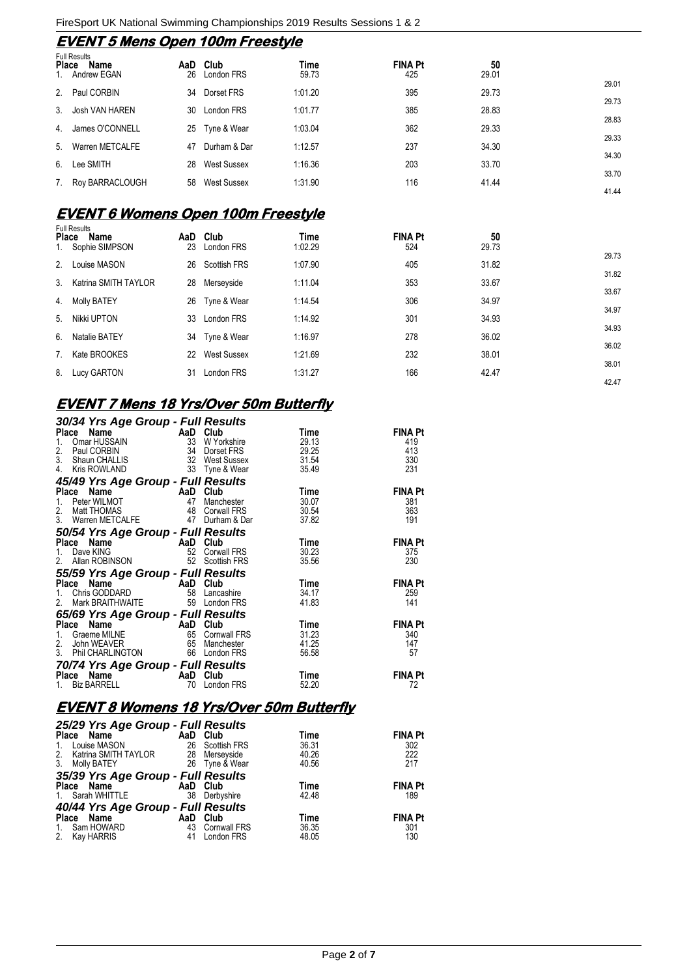## **EVENT 5 Mens Open 100m Freestyle**

|                | <b>Full Results</b><br>Name<br>Place<br>Andrew EGAN | AaD<br>26 | Club<br>London FRS | Time<br>59.73 | <b>FINA Pt</b><br>425 | 50<br>29.01 |       |
|----------------|-----------------------------------------------------|-----------|--------------------|---------------|-----------------------|-------------|-------|
| 2 <sub>1</sub> | Paul CORBIN                                         | 34        | Dorset FRS         | 1:01.20       | 395                   | 29.73       | 29.01 |
| 3 <sub>1</sub> | Josh VAN HAREN                                      | 30        | London FRS         | 1:01.77       | 385                   | 28.83       | 29.73 |
| 4.             | James O'CONNELL                                     |           | 25 Tyne & Wear     | 1:03.04       | 362                   | 29.33       | 28.83 |
| 5.             | Warren METCALFE                                     | 47        | Durham & Dar       | 1:12.57       | 237                   | 34.30       | 29.33 |
| 6.             | Lee SMITH                                           | 28        | West Sussex        | 1:16.36       | 203                   | 33.70       | 34.30 |
| 7.             | Roy BARRACLOUGH                                     | 58        | West Sussex        | 1:31.90       | 116                   | 41.44       | 33.70 |
|                |                                                     |           |                    |               |                       |             | 41.44 |

## **EVENT 6 Womens Open 100m Freestyle**

| <b>Place</b><br>1. | <b>Full Results</b><br>Name<br>Sophie SIMPSON | AaD<br>23 | Club<br>London FRS | Time<br>1:02.29 | <b>FINA Pt</b><br>524 | 50<br>29.73 |       |
|--------------------|-----------------------------------------------|-----------|--------------------|-----------------|-----------------------|-------------|-------|
|                    |                                               |           |                    |                 |                       |             | 29.73 |
| 2.                 | Louise MASON                                  |           | 26 Scottish FRS    | 1:07.90         | 405                   | 31.82       | 31.82 |
| 3 <sub>1</sub>     | Katrina SMITH TAYLOR                          | 28        | Merseyside         | 1:11.04         | 353                   | 33.67       | 33.67 |
| 4.                 | <b>Molly BATEY</b>                            |           | 26 Tyne & Wear     | 1:14.54         | 306                   | 34.97       | 34.97 |
| 5.                 | Nikki UPTON                                   | 33        | <b>London FRS</b>  | 1:14.92         | 301                   | 34.93       |       |
| 6.                 | Natalie BATEY                                 |           | 34 Tyne & Wear     | 1:16.97         | 278                   | 36.02       | 34.93 |
| 7 <sub>1</sub>     | Kate BROOKES                                  | 22        | West Sussex        | 1:21.69         | 232                   | 38.01       | 36.02 |
| 8.                 | Lucy GARTON                                   | 31        | London FRS         | 1:31.27         | 166                   | 42.47       | 38.01 |
|                    |                                               |           |                    |                 |                       |             | 42.47 |

## **EVENT 7 Mens 18 Yrs/Over 50m Butterfly**

| 30/34 Yrs Age Group - Full Results                                                                                                                                          |                  |             |                |
|-----------------------------------------------------------------------------------------------------------------------------------------------------------------------------|------------------|-------------|----------------|
| <b>Place Name</b><br>1. Omar HUSSAIN 33 W Yorkshire<br>2. Paul CORBIN 34 Dorset FRS 29.25<br>3. Shaun CHALLIS 32 West Sussex 31.54<br>3. Shaun CHALLIS 32 West Sussex 31.54 |                  |             | <b>FINA Pt</b> |
|                                                                                                                                                                             |                  |             | 419            |
|                                                                                                                                                                             |                  |             | 413            |
|                                                                                                                                                                             |                  |             | 330            |
| 4. Kris ROWLAND 33 Tyne & Wear 35.49                                                                                                                                        |                  |             | 231            |
| 45/49 Yrs Age Group - Full Results                                                                                                                                          |                  |             |                |
| <b>Place Name AaD Club</b><br>1. Peter WILMOT 47 Manchester<br>2. Matt THOMAS 48 Corwall FRS<br>3. Warren METCALFE 47 Durham & Dar                                          |                  | Time        | <b>FINA Pt</b> |
|                                                                                                                                                                             | Manchester 30.07 |             | 381            |
|                                                                                                                                                                             |                  | 30.54       | 363            |
|                                                                                                                                                                             |                  | 37.82       | 191            |
| 50/54 Yrs Age Group - Full Results                                                                                                                                          |                  |             |                |
| <b>Place Name AaD Club</b><br>1. Dave KING 52 Corwall FRS<br>2. Allan ROBINSON 52 Scottish FRS                                                                              |                  | <b>Time</b> | <b>FINA Pt</b> |
|                                                                                                                                                                             |                  | 30.23       | 375            |
|                                                                                                                                                                             |                  | 35.56       | 230            |
| <b>55/59 Yrs Age Group - Full Results</b><br>A <sub>AD</sub> Club                                                                                                           |                  |             |                |
| <b>Place Name AaD Club</b><br>1. Chris GODDARD 58 Lancashire                                                                                                                |                  | Time        | <b>FINA Pt</b> |
|                                                                                                                                                                             |                  | 34.17       | 259            |
| 2. Mark BRAITHWAITE 59 London FRS                                                                                                                                           |                  | 41.83       | 141            |
| <b>65/69 Yrs Age Group - Full Results<br/> Place Name AaD Club Time</b><br>1. Graeme MILNE 65 Comwall FRS 31.23<br>2. John WEAVER 65 Manchester 41.25                       |                  |             |                |
|                                                                                                                                                                             |                  |             | <b>FINA Pt</b> |
|                                                                                                                                                                             |                  |             | 340            |
|                                                                                                                                                                             |                  |             | 147            |
| 3. Phil CHARLINGTON 66 London FRS                                                                                                                                           |                  | 56.58       | 57             |
|                                                                                                                                                                             |                  |             |                |
|                                                                                                                                                                             |                  | Time        | <b>FINA Pt</b> |
| <b>70/74 Yrs Age Group - Full Results<br/>Place Name AaD Club<br/>1. Biz BARRELL 70 London FRS</b>                                                                          |                  | 52.20       | 72             |

## **EVENT 8 Womens 18 Yrs/Over 50m Butterfly**

| <b>FINA Pt</b> |
|----------------|
| 302            |
| 222            |
| 217            |
|                |
| <b>FINA Pt</b> |
| 189            |
|                |
| <b>FINA Pt</b> |
| 301            |
| 130            |
|                |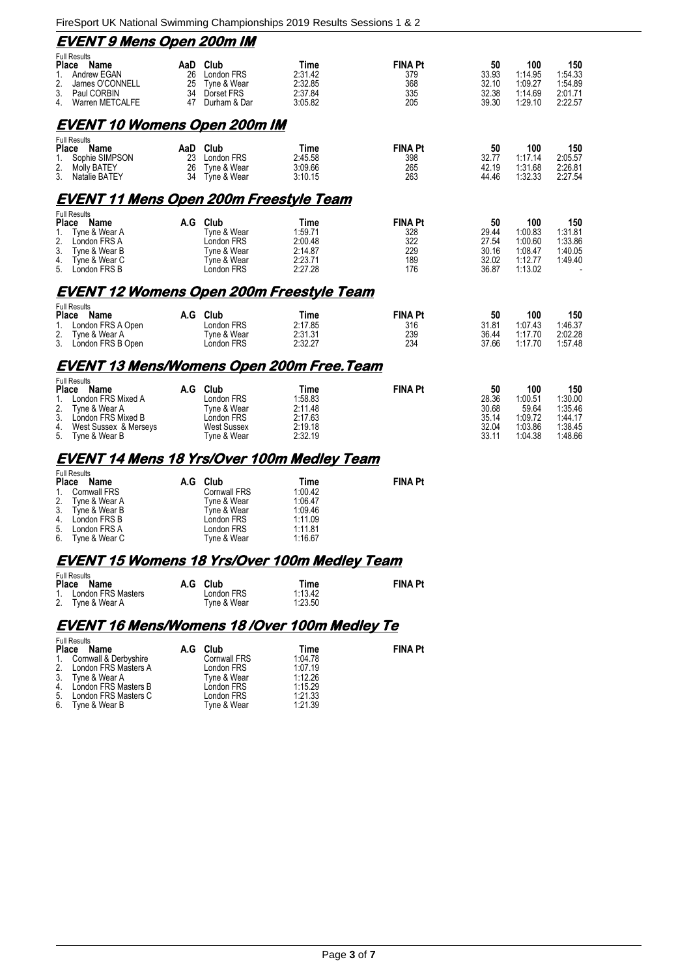| <u>EVENT 9 Mens Open 200m IM</u>                                                                                                                                       |          |                                                                                          |                                                                    |                                                   |                                                 |                                                            |                                                            |  |
|------------------------------------------------------------------------------------------------------------------------------------------------------------------------|----------|------------------------------------------------------------------------------------------|--------------------------------------------------------------------|---------------------------------------------------|-------------------------------------------------|------------------------------------------------------------|------------------------------------------------------------|--|
| <b>Full Results</b><br>Place Name<br>$\mathbf{1}$ .<br>Andrew EGAN<br>2.<br>James O'CONNELL<br>3.<br>Paul CORBIN<br>4.<br>Warren METCALFE                              | AaD      | Club<br>26 London FRS<br>25 Tyne & Wear<br>34 Dorset FRS<br>47 Durham & Dar              | <b>Time</b><br>2:31.42<br>2:32.85<br>2:37.84<br>3:05.82            | <b>FINA Pt</b><br>379<br>368<br>335<br>205        | 50<br>33.93<br>32.10<br>32.38<br>39.30          | 100<br>1:14.95<br>1:09.27<br>1:14.69<br>1:29.10            | 150<br>1:54.33<br>1:54.89<br>2:01.71<br>2:22.57            |  |
| <u>EVENT 10 Womens Open 200m IM</u>                                                                                                                                    |          |                                                                                          |                                                                    |                                                   |                                                 |                                                            |                                                            |  |
| <b>Full Results</b><br>Place Name<br>Sophie SIMPSON<br>1.<br>2.<br><b>Molly BATEY</b><br>3.<br>Natalie BATEY                                                           | 26<br>34 | AaD Club<br>23 London FRS<br>Tyne & Wear<br>Tyne & Wear                                  | Time<br>2:45.58<br>3:09.66<br>3:10.15                              | <b>FINA Pt</b><br>398<br>265<br>263               | 50<br>32.77<br>42.19<br>44.46                   | 100<br>1:17.14<br>1:31.68<br>1:32.33                       | 150<br>2:05.57<br>2:26.81<br>2:27.54                       |  |
| <u>EVENT 11 Mens Open 200m Freestyle Team</u>                                                                                                                          |          |                                                                                          |                                                                    |                                                   |                                                 |                                                            |                                                            |  |
| <b>Full Results</b><br>Place Name<br>Tyne & Wear A<br>1.<br>2.<br>London FRS A<br>3.<br>Tyne & Wear B<br>4.<br>Tyne & Wear C<br>5.<br>London FRS B                     |          | A.G Club<br>Tyne & Wear<br>London FRS<br>Tyne & Wear<br>Tyne & Wear<br>London FRS        | Time<br>1:59.71<br>2:00.48<br>2:14.87<br>2:23.71<br>2:27.28        | <b>FINA Pt</b><br>328<br>322<br>229<br>189<br>176 | 50<br>29.44<br>27.54<br>30.16<br>32.02<br>36.87 | 100<br>1:00.83<br>1:00.60<br>1:08.47<br>1:12.77<br>1:13.02 | 150<br>1:31.81<br>1:33.86<br>1:40.05<br>1:49.40            |  |
| <u>EVENT 12 Womens Open 200m Freestyle Team</u>                                                                                                                        |          |                                                                                          |                                                                    |                                                   |                                                 |                                                            |                                                            |  |
| <b>Full Results</b><br>Place Name<br>London FRS A Open<br>1.<br>2.<br>Tyne & Wear A<br>3 <sub>1</sub><br>London FRS B Open                                             |          | A.G Club<br>London FRS<br>Tyne & Wear<br>London FRS                                      | Time<br>2:17.85<br>2:31.31<br>2:32.27                              | <b>FINA Pt</b><br>316<br>239<br>234               | 50<br>31.81<br>36.44<br>37.66                   | 100<br>1:07.43<br>1:17.70<br>1:17.70                       | 150<br>1:46.37<br>2:02.28<br>1:57.48                       |  |
| <u>EVENT 13 Mens/Womens Open 200m Free.Team</u>                                                                                                                        |          |                                                                                          |                                                                    |                                                   |                                                 |                                                            |                                                            |  |
| <b>Full Results</b><br>Place<br>Name<br>London FRS Mixed A<br>1.<br>2.<br>Tyne & Wear A<br>3. London FRS Mixed B<br>4.<br>West Sussex & Merseys<br>5.<br>Tyne & Wear B |          | A.G Club<br>London FRS<br>Tyne & Wear<br>London FRS<br><b>West Sussex</b><br>Tyne & Wear | <b>Time</b><br>1:58.83<br>2:11.48<br>2:17.63<br>2:19.18<br>2:32.19 | <b>FINA Pt</b>                                    | 50<br>28.36<br>30.68<br>35.14<br>32.04<br>33.11 | 100<br>1:00.51<br>59.64<br>1:09.72<br>1:03.86<br>1:04.38   | 150<br>1:30.00<br>1:35.46<br>1:44.17<br>1:38.45<br>1:48.66 |  |
| <u>EVENT 14 Mens 18 Yrs/Over 100m Medley Team</u><br><b>Full Results</b>                                                                                               |          |                                                                                          |                                                                    |                                                   |                                                 |                                                            |                                                            |  |

| <b>Place</b><br>Name |                                      | A.G Club           | Time    | <b>FINA Pt</b> |
|----------------------|--------------------------------------|--------------------|---------|----------------|
|                      | 1. Cornwall FRS                      | <b>Comwall FRS</b> | 1:00.42 |                |
|                      | 2. Tyne & Wear A<br>3. Tyne & Wear B | Tyne & Wear        | 1:06.47 |                |
|                      |                                      | Tyne & Wear        | 1:09.46 |                |
|                      | 4. London FRS B                      | London FRS         | 1:11.09 |                |
|                      | 5. London FRS A                      | London FRS         | 1:11.81 |                |
|                      | 6. Tyne & Wear C                     | Tyne & Wear        | 1:16.67 |                |

# **EVENT 15 Womens 18 Yrs/Over 100m Medley Team**

| Full Results<br>Place Name | A.G Club    | Time    | <b>FINA Pt</b> |
|----------------------------|-------------|---------|----------------|
| 1. London FRS Masters      | London FRS  | 1:13.42 |                |
| 2. Tyne & Wear A           | Tyne & Wear | 1:23.50 |                |

# **EVENT 16 Mens/Womens 18 /Over 100m Medley Te**

|            | <b>Full Results</b>      |     |                     |         |                |
|------------|--------------------------|-----|---------------------|---------|----------------|
| Place Name |                          | A.G | Club                | Time    | <b>FINA Pt</b> |
|            | 1. Cornwall & Derbyshire |     | <b>Cornwall FRS</b> | 1:04.78 |                |
|            | 2. London FRS Masters A  |     | London FRS          | 1:07.19 |                |
|            | 3. Tyne & Wear A         |     | Tyne & Wear         | 1:12.26 |                |
|            | 4. London FRS Masters B  |     | London FRS          | 1:15.29 |                |
|            | 5. London FRS Masters C  |     | London FRS          | 1:21.33 |                |
| 6.         | Tyne & Wear B            |     | Tyne & Wear         | 1:21.39 |                |
|            |                          |     |                     |         |                |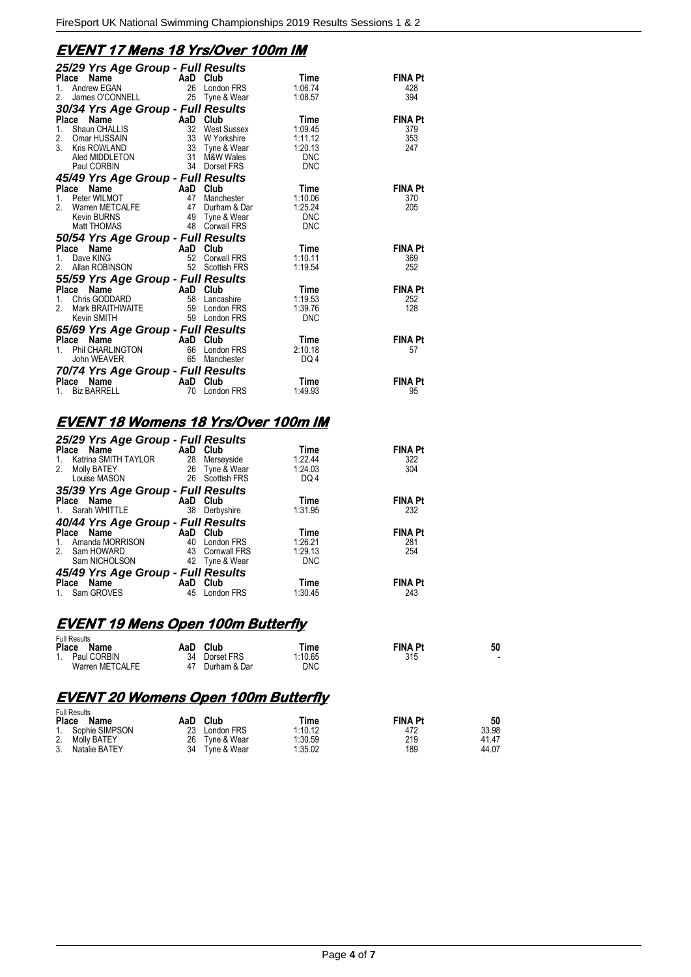## **EVENT 17 Mens 18 Yrs/Over 100m IM**

| 25/29 Yrs Age Group - Full Results<br>Place                                                                                                                                                                                   |    |                 | Time               | <b>FINA Pt</b> |
|-------------------------------------------------------------------------------------------------------------------------------------------------------------------------------------------------------------------------------|----|-----------------|--------------------|----------------|
| <b>Ce Name And AaD Club</b><br>Andrew EGAN 26 London FRS<br>1.                                                                                                                                                                |    |                 | 1:06.74            | 428            |
| James O'CONNELL 25 Tyne & Wear<br>2.                                                                                                                                                                                          |    |                 | 1:08.57            | 394            |
| 30/34 Yrs Age Group - Full Results                                                                                                                                                                                            |    |                 |                    |                |
| Compared to the Company of Care Compared to Shaun CHALLIS<br>Shaun CHALLIS 32 West Sussex<br>Omar HUSSAIN 33 W Yorkshire<br>Kris ROWLAND 33 Tyne & Wear<br>Place                                                              |    |                 | Time               | <b>EINA Pt</b> |
| $1_{-}$                                                                                                                                                                                                                       |    |                 | 1:09.45            | 379            |
| 2.<br>3                                                                                                                                                                                                                       |    |                 | 1:11.12<br>1:20.13 | 353            |
|                                                                                                                                                                                                                               |    |                 | <b>DNC</b>         | 247            |
| Aled MIDDLETON 31 M&W Wales<br>Paul CORBIN 34 Dorset FRS                                                                                                                                                                      |    |                 | <b>DNC</b>         |                |
| 45/49 Yrs Age Group - Full Results                                                                                                                                                                                            |    |                 |                    |                |
| Compared to the Manne Compared Compared to the Peter WILMOT<br>Peter WILMOT 47 Manchester<br>Warren METCALFE 47 Durham & Dar<br>Kevin BURNS 49 Tyne & Wear<br>Matt THOMAS 48 Corwall FRS<br>Place                             |    |                 | <b>Time</b>        | <b>FINA Pt</b> |
| $1_{\cdot}$                                                                                                                                                                                                                   |    |                 | 1:10.06            | 370            |
| 2.                                                                                                                                                                                                                            |    | Durham & Dar    | 1:25.24            | 205            |
|                                                                                                                                                                                                                               |    |                 | <b>DNC</b>         |                |
|                                                                                                                                                                                                                               |    |                 | <b>DNC</b>         |                |
| 50/54 Yrs Age Group - Full Results                                                                                                                                                                                            |    |                 |                    |                |
| <b>Place Name (1998)</b><br>1. Dave KING (1998)<br>2. Allan ROBINSON (1998) 52 Scottis                                                                                                                                        |    |                 | Time               | <b>FINA Pt</b> |
|                                                                                                                                                                                                                               |    | 52 Corwall FRS  | 1:10.11            | 369            |
|                                                                                                                                                                                                                               |    | 52 Scottish FRS | 1:19.54            | 252            |
| 55/59 Yrs Age Group - Full Results                                                                                                                                                                                            |    |                 |                    |                |
| Place                                                                                                                                                                                                                         |    |                 | Time               | <b>FINA Pt</b> |
| $1_{\ldots}$<br>$\mathfrak{p}$                                                                                                                                                                                                |    |                 | 1:19.53<br>1:39.76 | 252<br>128     |
| Compared to the Manuson of the Manuson of the Manuson of the Manuson of the Manuson of the Manuson of the Manuson of the Manuson of the Manuson of the Manuson of the Manuson of the Manuson of the Manuson of the Manuson of |    |                 | <b>DNC</b>         |                |
| 65/69 Yrs Age Group - Full Results                                                                                                                                                                                            |    |                 |                    |                |
|                                                                                                                                                                                                                               |    |                 | Time               | <b>FINA Pt</b> |
|                                                                                                                                                                                                                               |    |                 | 2:10.18            | 57             |
| Place Name AaD Club<br>1. Phil CHARLINGTON 66 London FRS<br>John WEAVER 65 Manchester                                                                                                                                         |    |                 | DQ 4               |                |
| 70/74 Yrs Age Group - Full Results                                                                                                                                                                                            |    |                 |                    |                |
| AaD Club<br>70 Londo<br>Place Name                                                                                                                                                                                            |    |                 | Time               | <b>FINA Pt</b> |
| <b>Biz BARRELL</b><br>1.                                                                                                                                                                                                      | 70 | London FRS      | 1:49.93            | 95             |

## **EVENT 18 Womens 18 Yrs/Over 100m IM**

| 25/29 Yrs Age Group - Full Results |          |                 |            |                |  |  |  |
|------------------------------------|----------|-----------------|------------|----------------|--|--|--|
| and AaD Club<br>Place Name         |          |                 | Time       | <b>FINA Pt</b> |  |  |  |
| Katrina SMITH TAYLOR<br>1.         | 28       | Merseyside      | 1:22.44    | 322            |  |  |  |
| 2.<br>Molly BATEY                  |          | 26 Tyne & Wear  | 1:24.03    | 304            |  |  |  |
| Louise MASON                       |          | 26 Scottish FRS | DQ4        |                |  |  |  |
| 35/39 Yrs Age Group - Full Results |          |                 |            |                |  |  |  |
| Place Name                         | AaD Club |                 | Time       | <b>FINA Pt</b> |  |  |  |
| 1. Sarah WHITTLE                   | -38      | Derbyshire      | 1:31.95    | 232            |  |  |  |
| 40/44 Yrs Age Group - Full Results |          |                 |            |                |  |  |  |
| and Club<br>Place Name             |          |                 | Time       | <b>FINA Pt</b> |  |  |  |
| Amanda MORRISON<br>$1_{\cdot}$     | 40       | London FRS      | 1:26.21    | 281            |  |  |  |
| Sam HOWARD<br>2.                   |          | 43 Comwall FRS  | 1:29.13    | 254            |  |  |  |
| Sam NICHOLSON                      |          | 42 Tyne & Wear  | <b>DNC</b> |                |  |  |  |
| 45/49 Yrs Age Group - Full Results |          |                 |            |                |  |  |  |
| Place<br>Name                      | AaD      | Club            | Time       | <b>FINA Pt</b> |  |  |  |
| Sam GROVES<br>$1_{1}$              | 45       | London FRS      | 1:30.45    | 243            |  |  |  |

### **EVENT 19 Mens Open 100m Butterfly**

| <b>Full Results</b> |    |               |         |                |                          |
|---------------------|----|---------------|---------|----------------|--------------------------|
| Place<br>Name       |    | AaD Club      | Time    | <b>FINA Pt</b> | 50                       |
| 1. Paul CORBIN      |    | 34 Dorset FRS | 1:10.65 | 315            | $\overline{\phantom{0}}$ |
| Warren METCALFE     | 47 | Durham & Dar  | DNC     |                |                          |

### **EVENT 20 Womens Open 100m Butterfly**

| <b>Full Results</b>  |                   |         |                |       |
|----------------------|-------------------|---------|----------------|-------|
| <b>Place</b><br>Name | Club<br>AaD       | Time    | <b>FINA Pt</b> | 50    |
| 1. Sophie SIMPSON    | 23<br>London FRS  | 1:10.12 | 472            | 33.98 |
| 2.<br>Molly BATEY    | 26 Tyne & Wear    | 1:30.59 | 219            | 41.47 |
| 3.<br>Natalie BATEY  | 34<br>Tyne & Wear | 1:35.02 | 189            | 44.07 |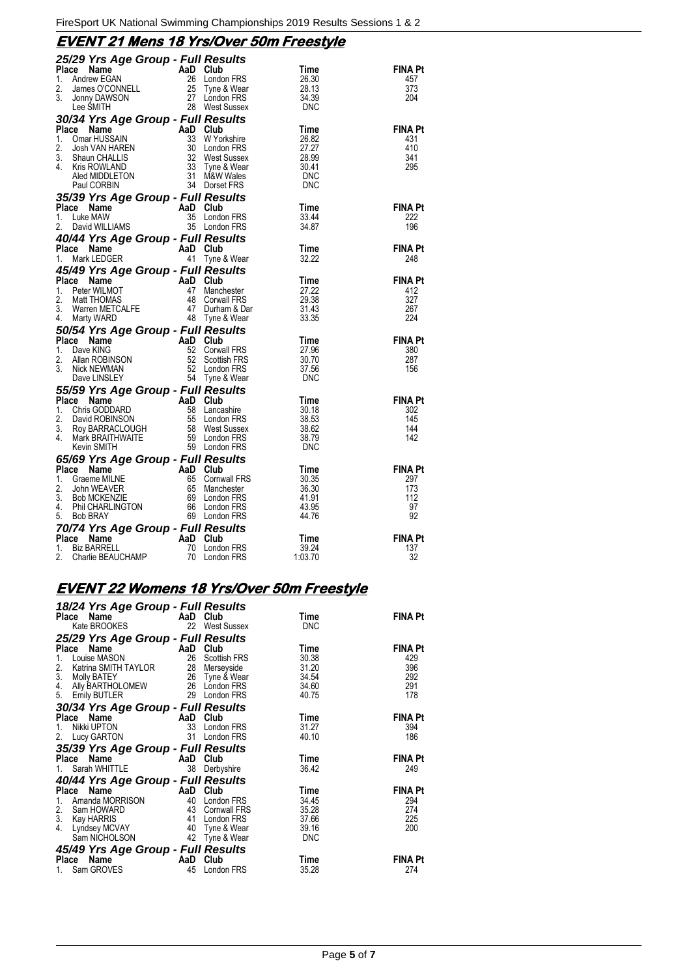## **EVENT 21 Mens 18 Yrs/Over 50m Freestyle**

| <b>25/29 Yrs Age Group - Full Results<br/> Place Name AaD Club Time<br/> 1. Andrew EGAN 26 London FRS 26.30<br/> 2. James O'CONNELL 25 Tyne &amp; Wear 28.13<br/> 3. Johny DAWSON 27 London FRS 28.13<br/> Lee SMITH 28 West Sussex DNC</b>                          |  |       |                                            |
|----------------------------------------------------------------------------------------------------------------------------------------------------------------------------------------------------------------------------------------------------------------------|--|-------|--------------------------------------------|
|                                                                                                                                                                                                                                                                      |  |       | <b>FINA Pt</b>                             |
|                                                                                                                                                                                                                                                                      |  |       | 457<br>373                                 |
|                                                                                                                                                                                                                                                                      |  |       | 204                                        |
|                                                                                                                                                                                                                                                                      |  |       |                                            |
| Lee SMITH<br>28 West Sussex<br>28 West Sussex<br>28 West Sussex<br>1. Omar HUSSAIN<br>1. Omar HUSSAIN<br>1. Omar HUSSAIN<br>33 WYorkshire<br>33 WYorkshire<br>32 West Sussex<br>26.82<br>26.82<br>26.82<br>26.82<br>26.82<br>26.82<br>26.82<br>26.82<br>26.82<br>26. |  |       |                                            |
|                                                                                                                                                                                                                                                                      |  |       | $FINA$ Pt                                  |
|                                                                                                                                                                                                                                                                      |  |       | 431<br>410                                 |
|                                                                                                                                                                                                                                                                      |  |       | 341                                        |
|                                                                                                                                                                                                                                                                      |  |       | 295                                        |
|                                                                                                                                                                                                                                                                      |  |       |                                            |
|                                                                                                                                                                                                                                                                      |  |       |                                            |
|                                                                                                                                                                                                                                                                      |  |       |                                            |
|                                                                                                                                                                                                                                                                      |  |       | <b>FINA Pt</b><br>222                      |
|                                                                                                                                                                                                                                                                      |  |       | 196                                        |
|                                                                                                                                                                                                                                                                      |  |       |                                            |
| <b>40/44 Yrs Age Group - Full Results<br/>Place Name AaD Club<br/>1. Mark LEDGER 41 Tyne &amp; Wear<br/>41 Tyne &amp; Wear</b>                                                                                                                                       |  | Time  | <b>FINA Pt</b>                             |
|                                                                                                                                                                                                                                                                      |  | 32.22 | 248                                        |
|                                                                                                                                                                                                                                                                      |  |       |                                            |
|                                                                                                                                                                                                                                                                      |  |       |                                            |
|                                                                                                                                                                                                                                                                      |  |       |                                            |
|                                                                                                                                                                                                                                                                      |  |       |                                            |
| 45/49 Yrs Age Group - Full Results<br>1. Peter WILMOT 47 Manchester 27.22<br>3. Mart THOMAS 48 Convall FRS<br>2. Matri MCDMAS 48 Convall FRS<br>4. Marty WARD 48 Tyne & Wear 31.43<br>4. Marty WARD 48 Tyne & Wear 50/54 Vec Actor Crown                             |  |       | <b>FINA Pt</b><br>412<br>327<br>267<br>224 |
|                                                                                                                                                                                                                                                                      |  |       |                                            |
|                                                                                                                                                                                                                                                                      |  |       | FINA Pt<br>380<br>287<br>156               |
|                                                                                                                                                                                                                                                                      |  |       |                                            |
|                                                                                                                                                                                                                                                                      |  |       |                                            |
|                                                                                                                                                                                                                                                                      |  |       |                                            |
|                                                                                                                                                                                                                                                                      |  |       |                                            |
|                                                                                                                                                                                                                                                                      |  |       | <b>FINA Pt</b>                             |
|                                                                                                                                                                                                                                                                      |  |       | 302                                        |
|                                                                                                                                                                                                                                                                      |  |       | 145                                        |
|                                                                                                                                                                                                                                                                      |  |       | 144<br>142                                 |
|                                                                                                                                                                                                                                                                      |  |       |                                            |
|                                                                                                                                                                                                                                                                      |  |       |                                            |
|                                                                                                                                                                                                                                                                      |  |       | <b>FINA Pt</b>                             |
|                                                                                                                                                                                                                                                                      |  |       | 297                                        |
|                                                                                                                                                                                                                                                                      |  |       | 173                                        |
|                                                                                                                                                                                                                                                                      |  |       | 112<br>97                                  |
|                                                                                                                                                                                                                                                                      |  |       | 92                                         |
| 3. Warty WARD<br>4. Marty WARD<br>14. Marty WARD<br>14. Dave KiNG<br>14. Dave KiNG<br>14. Dave KiNG<br>14. Dave KiNG<br>14. Dave KiNG<br>16. Corval FRS<br>15. Allan ROBINSON<br>52 Corval FRS<br>52 Corval FRS<br>16. Corval FRS<br>3. Now LINSLEY<br>16.           |  |       |                                            |
|                                                                                                                                                                                                                                                                      |  |       | <b>FINA Pt</b>                             |
|                                                                                                                                                                                                                                                                      |  |       | 137                                        |
|                                                                                                                                                                                                                                                                      |  |       | 32                                         |

# **EVENT 22 Womens 18 Yrs/Over 50m Freestyle**

| 18/24 Yrs Age Group - Full Results                                                               |     |                              |                    |                |
|--------------------------------------------------------------------------------------------------|-----|------------------------------|--------------------|----------------|
| Place Name<br>Kate BROOKES                                                                       | AaD | Club<br>22 West Sussex       | Time<br><b>DNC</b> | <b>FINA Pt</b> |
|                                                                                                  |     |                              |                    |                |
| 25/29 Yrs Age Group - Full Results                                                               |     |                              |                    |                |
| Place<br>ce Name<br>Louise MASON 26                                                              |     | Club                         | Time               | <b>FINA Pt</b> |
| 1.<br>Katrina SMITH TAYLOR<br>2.                                                                 | 28  | Scottish FRS                 | 30.38<br>31.20     | 429<br>396     |
|                                                                                                  |     | Merseyside<br>26 Tyne & Wear | 34.54              | 292            |
|                                                                                                  |     |                              | 34.60              | 291            |
| 3. Molly BATEY<br>4. Ally BARTHOLOMEW<br>5. Emily BUTLER<br>5. Emily BUTLER<br>19. 29 London FRS |     |                              | 40.75              | 178            |
| 30/34 Yrs Age Group - Full Results                                                               |     |                              |                    |                |
|                                                                                                  | AaD | Club                         | Time               | <b>FINA Pt</b> |
| Place Name<br>Nikki UPTON<br>1.                                                                  | 33  | London FRS                   | 31.27              | 394            |
| <b>Lucy GARTON</b><br>2.                                                                         | 31  | London FRS                   | 40.10              | 186            |
| 35/39 Yrs Age Group - Full Results                                                               |     |                              |                    |                |
| Place Name<br><b>Example 2 AaD</b> Club                                                          |     |                              | Time               | <b>FINA Pt</b> |
| Sarah WHITTLE<br>1.                                                                              | 38  | Derbyshire                   | 36.42              | 249            |
| 40/44 Yrs Age Group - Full Results                                                               |     |                              |                    |                |
| Place Name<br><b>Example 2018</b> AaD Club                                                       |     |                              | Time               | <b>FINA Pt</b> |
| 1.<br>Amanda MORRISON                                                                            | 40  | London FRS                   | 34.45              | 294            |
| $\frac{13}{43}$<br>2.<br>Sam HOWARD                                                              |     | Cornwall FRS                 | 35.28              | 274            |
| 3. Kay HARRIS<br>4. Lyndsey MCVAY                                                                | 41  | London FRS                   | 37.66              | 225            |
|                                                                                                  |     | 40 Tyne & Wear               | 39.16              | 200            |
| Sam NICHOLSON                                                                                    |     | 42 Tyne & Wear               | <b>DNC</b>         |                |
| 45/49 Yrs Age Group - Full Results                                                               |     |                              |                    |                |
| Place Name<br><b>Example 2</b> AaD                                                               |     | Club                         | Time               | <b>FINA Pt</b> |
| Sam GROVES<br>1.                                                                                 | 45  | London FRS                   | 35.28              | 274            |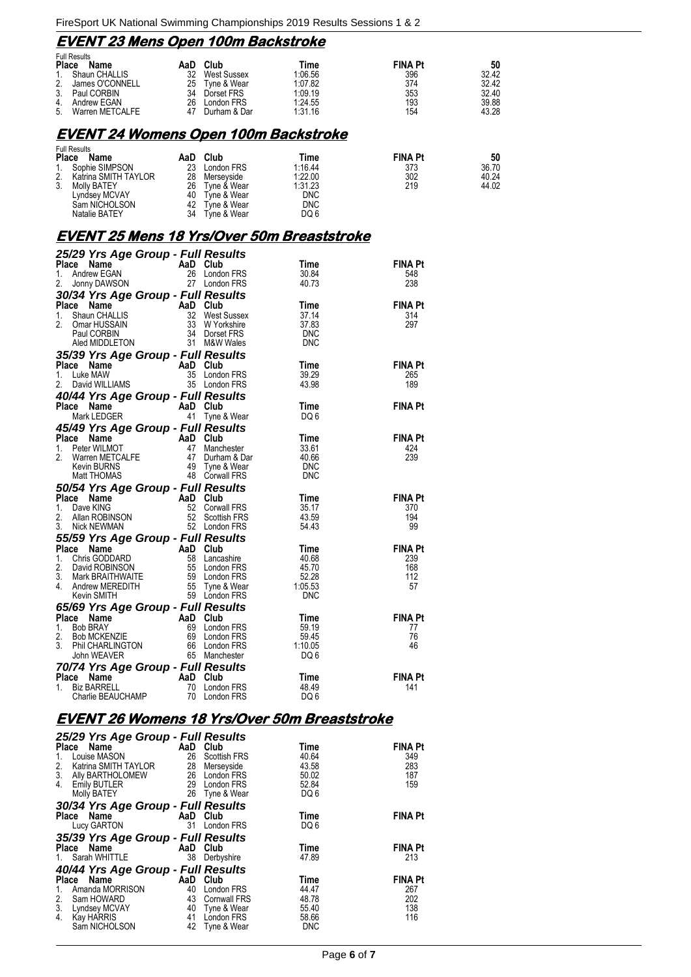## **EVENT 23 Mens Open 100m Backstroke**

|              | <b>Full Results</b> |     |              |         |                |       |  |
|--------------|---------------------|-----|--------------|---------|----------------|-------|--|
| <b>Place</b> | Name                | AaD | Club         | Time    | <b>FINA Pt</b> | 50    |  |
|              | 1. Shaun CHALLIS    | 32  | West Sussex  | 1:06.56 | 396            | 32.42 |  |
| 2.           | James O'CONNELL     | 25  | Tvne & Wear  | 1:07.82 | 374            | 32.42 |  |
| 3.           | Paul CORBIN         | 34  | Dorset FRS   | 1:09.19 | 353            | 32.40 |  |
|              | 4. Andrew EGAN      | 26  | London FRS   | 1:24.55 | 193            | 39.88 |  |
| 5.           | Warren METCALFE     | 47  | Durham & Dar | 1:31.16 | 154            | 43.28 |  |

#### **EVENT 24 Womens Open 100m Backstroke**

| Name               | AaD                                                                                 | Club        | Time       | <b>FINA Pt</b> | 50    |
|--------------------|-------------------------------------------------------------------------------------|-------------|------------|----------------|-------|
|                    | 23                                                                                  | London FRS  | 1:16.44    | 373            | 36.70 |
|                    | 28                                                                                  | Mersevside  | 1:22.00    | 302            | 40.24 |
| <b>Molly BATEY</b> | 26                                                                                  | Tyne & Wear | 1:31.23    | 219            | 44.02 |
| Lyndsey MCVAY      | 40                                                                                  | Tyne & Wear | <b>DNC</b> |                |       |
| Sam NICHOLSON      | 42                                                                                  | Tyne & Wear | DNC        |                |       |
| Natalie BATEY      | 34                                                                                  | Tyne & Wear | DQ 6       |                |       |
| 2.                 | <b>Full Results</b><br><b>Place</b><br>Sophie SIMPSON<br>1.<br>Katrina SMITH TAYLOR |             |            |                |       |

### **EVENT 25 Mens 18 Yrs/Over 50m Breaststroke**

| 25/29 Yrs Age Group - Full Results                                                                                                                                                                                                                           |  |                |
|--------------------------------------------------------------------------------------------------------------------------------------------------------------------------------------------------------------------------------------------------------------|--|----------------|
|                                                                                                                                                                                                                                                              |  | <b>FINA Pt</b> |
|                                                                                                                                                                                                                                                              |  | 548            |
|                                                                                                                                                                                                                                                              |  | 238            |
|                                                                                                                                                                                                                                                              |  |                |
|                                                                                                                                                                                                                                                              |  | <b>FINA Pt</b> |
|                                                                                                                                                                                                                                                              |  | 314            |
|                                                                                                                                                                                                                                                              |  | 297            |
|                                                                                                                                                                                                                                                              |  |                |
| <b>20129 Trs Age Group - Full Results<br/> Time<br/> 1.</b> Andrew EGAN<br>2. Jonny DAWSON<br>2. The 26 London FRS<br>2. Jonny DAWSON<br>2. The 26 London FRS<br>30/34 Yrs Age Group - Full Results<br>1. Shanne CHALLIS<br>1. Shanne AaD Club<br>1. Shann   |  |                |
| 35/39 Yrs Age Group - Full Results<br>Place Name AaD Club<br>1. Luke MAW 35 London FRS 39.29<br>2. David WILLIAMS 35 London FRS 43.98                                                                                                                        |  | <b>FINA Pt</b> |
|                                                                                                                                                                                                                                                              |  | 265            |
|                                                                                                                                                                                                                                                              |  | 189            |
|                                                                                                                                                                                                                                                              |  |                |
|                                                                                                                                                                                                                                                              |  | <b>FINA Pt</b> |
|                                                                                                                                                                                                                                                              |  |                |
|                                                                                                                                                                                                                                                              |  |                |
|                                                                                                                                                                                                                                                              |  | <b>FINA Pt</b> |
|                                                                                                                                                                                                                                                              |  | 424            |
|                                                                                                                                                                                                                                                              |  | 239            |
|                                                                                                                                                                                                                                                              |  |                |
|                                                                                                                                                                                                                                                              |  |                |
|                                                                                                                                                                                                                                                              |  |                |
|                                                                                                                                                                                                                                                              |  | <b>FINA Pt</b> |
|                                                                                                                                                                                                                                                              |  | 370<br>194     |
|                                                                                                                                                                                                                                                              |  | 99             |
|                                                                                                                                                                                                                                                              |  |                |
|                                                                                                                                                                                                                                                              |  | <b>FINA Pt</b> |
|                                                                                                                                                                                                                                                              |  | 239            |
|                                                                                                                                                                                                                                                              |  | 168            |
|                                                                                                                                                                                                                                                              |  | 112            |
|                                                                                                                                                                                                                                                              |  | 57             |
|                                                                                                                                                                                                                                                              |  |                |
| 2. David WILLIAMS 35 London FRS<br>10/44 Yrs Age Group - Full Results<br>Mark LEDGER<br>Mark LEDGER<br>1. Peter WILMOT<br>Mark LEDGER<br>1. Peter WILMOT<br>1. Peter WILMOT<br>1. Peter WILMOT<br>1. Peter WILMOT<br>1. Peter WILMOT<br>1. Peter WIL         |  |                |
|                                                                                                                                                                                                                                                              |  | <b>FINA Pt</b> |
|                                                                                                                                                                                                                                                              |  | 77             |
|                                                                                                                                                                                                                                                              |  | 76<br>46       |
| <b>65/69 Yrs Age Group - Full Results<br/> Place Name AaD Club<br/> 1. Bob BRAY Age Croup - Full Results<br/> 2. Bob MCKENZIE 69 London FRS 59.45<br/> 3. Phil CHARLINGTON 66 London FRS 59.45<br/> 3. Phil CHARLINGTON 66 London FRS 1:10.05<br/> John </b> |  |                |
|                                                                                                                                                                                                                                                              |  |                |
| <b>70/74 Yrs Age Group - Full Results<br/> Place Name AaD Club Time<br/> 1. Biz BARRELL 70 London FRS 48.49<br/> Charlie BEAUCHAMP 70 London FRS DQ 6</b>                                                                                                    |  | FINA Pt        |
|                                                                                                                                                                                                                                                              |  | 141            |
|                                                                                                                                                                                                                                                              |  |                |

### **EVENT 26 Womens 18 Yrs/Over 50m Breaststroke**

| 25/29 Yrs Age Group - Full Results                                 |      |                     |                 |                |
|--------------------------------------------------------------------|------|---------------------|-----------------|----------------|
| Place Name AaD Club                                                |      |                     | Time            | <b>FINA Pt</b> |
| Louise MASON<br>1.                                                 | 26   | <b>Scottish FRS</b> | 40.64           | 349            |
| Katrina SMITH TAYLOR 28 Merseyside<br>2.                           |      |                     | 43.58           | 283            |
| 3. Ally BARTHOLOMEW 26 London FRS<br>4. Emily BUTLER 29 London FRS |      |                     | 50.02           | 187            |
| <b>Emily BUTLER</b>                                                |      | 29 London FRS       | 52.84           | 159            |
| Molly BATEY 26 Tyne & Wear                                         |      |                     | DQ <sub>6</sub> |                |
| 30/34 Yrs Age Group - Full Results                                 |      |                     |                 |                |
| Place Name AaD Club                                                |      |                     | Time            | <b>FINA Pt</b> |
| Lucy GARTON                                                        |      | 31 London FRS       | DQ <sub>6</sub> |                |
| 35/39 Yrs Age Group - Full Results                                 |      |                     |                 |                |
| Place Name AaD Club                                                |      |                     | Time            | <b>FINA Pt</b> |
| 1. Sarah WHITTLE 38 Derbyshire                                     |      |                     | 47.89           | 213            |
| 40/44 Yrs Age Group - Full Results                                 |      |                     |                 |                |
| AaD Club<br>Place Name                                             |      |                     | Time            | <b>FINA Pt</b> |
| Amanda MORRISON 40<br>1.                                           |      | London FRS          | 44.47           | 267            |
| 2.<br>Sam HOWARD                                                   |      | 43 Cornwall FRS     | 48.78           | 202            |
| 3. Lyndsey MCVAY<br>4. Kay HARRIS                                  | - 40 | Tyne & Wear         | 55.40           | 138            |
|                                                                    |      | 41 London FRS       | 58.66           | 116            |
| Sam NICHOLSON                                                      |      | 42 Tyne & Wear      | <b>DNC</b>      |                |